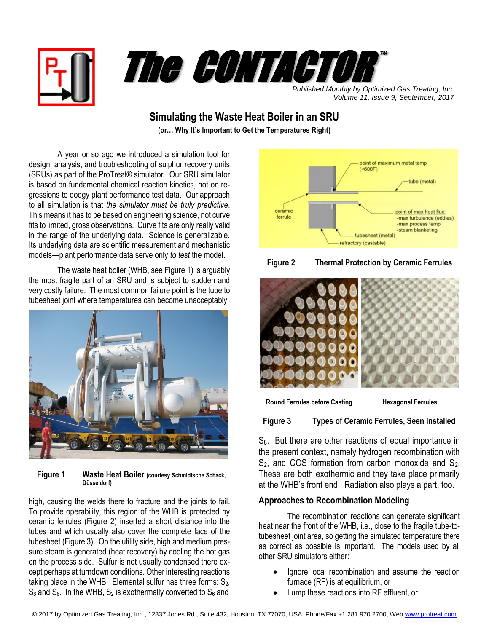



*Published Monthly by Optimized Gas Treating, Inc. Volume 11, Issue 9, September, 2017*

# **Simulating the Waste Heat Boiler in an SRU**

**(or… Why It's Important to Get the Temperatures Right)**

A year or so ago we introduced a simulation tool for design, analysis, and troubleshooting of sulphur recovery units (SRUs) as part of the ProTreat® simulator. Our SRU simulator is based on fundamental chemical reaction kinetics, not on regressions to dodgy plant performance test data. Our approach to all simulation is that *the simulator must be truly predictive*. This means it has to be based on engineering science, not curve fits to limited, gross observations. Curve fits are only really valid in the range of the underlying data. Science is generalizable. Its underlying data are scientific measurement and mechanistic models—plant performance data serve only *to test* the model.

The waste heat boiler (WHB, see Figure 1) is arguably the most fragile part of an SRU and is subject to sudden and very costly failure. The most common failure point is the tube to tubesheet joint where temperatures can become unacceptably



 **Figure 1 Waste Heat Boiler (courtesy Schmidtsche Schack, Düsseldorf)**

high, causing the welds there to fracture and the joints to fail. To provide operability, this region of the WHB is protected by ceramic ferrules (Figure 2) inserted a short distance into the tubes and which usually also cover the complete face of the tubesheet (Figure 3). On the utility side, high and medium pressure steam is generated (heat recovery) by cooling the hot gas on the process side. Sulfur is not usually condensed there except perhaps at turndown conditions. Other interesting reactions taking place in the WHB. Elemental sulfur has three forms:  $S<sub>2</sub>$ ,  $S_6$  and  $S_8$ . In the WHB,  $S_2$  is exothermally converted to  $S_6$  and







**Round Ferrules before Casting Hexagonal Ferrules** 

**Figure 3 Types of Ceramic Ferrules, Seen Installed**

S<sub>8</sub>. But there are other reactions of equal importance in the present context, namely hydrogen recombination with  $S_2$ , and COS formation from carbon monoxide and  $S_2$ . These are both exothermic and they take place primarily at the WHB's front end. Radiation also plays a part, too.

## **Approaches to Recombination Modeling**

The recombination reactions can generate significant heat near the front of the WHB, i.e., close to the fragile tube-totubesheet joint area, so getting the simulated temperature there as correct as possible is important. The models used by all other SRU simulators either:

- Ignore local recombination and assume the reaction furnace (RF) is at equilibrium, or
- Lump these reactions into RF effluent, or